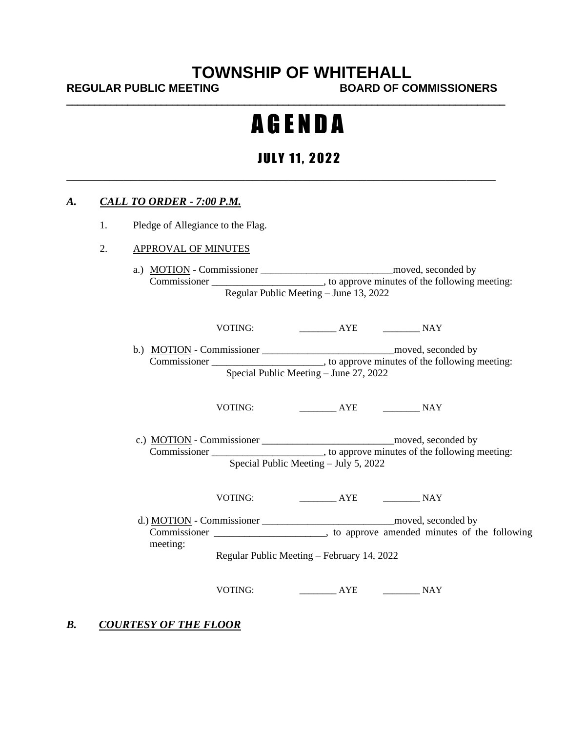# **TOWNSHIP OF WHITEHALL**

REGULAR PUBLIC MEETING BOARD OF COMMISSIONERS

# A G E N D A

*\_\_\_\_\_\_\_\_\_\_\_\_\_\_\_\_\_\_\_\_\_\_\_\_\_\_\_\_\_\_\_\_\_\_\_\_\_\_\_\_\_\_\_\_\_\_\_\_\_\_\_\_\_\_\_\_\_\_\_\_\_\_\_\_\_\_\_\_\_\_\_\_\_\_\_\_\_\_\_* 

## **JULY 11, 2022**

#### *A. CALL TO ORDER - 7:00 P.M.*

1. Pledge of Allegiance to the Flag.

#### 2. APPROVAL OF MINUTES

a.) MOTION - Commissioner \_\_\_\_\_\_\_\_\_\_\_\_\_\_\_\_\_\_\_\_\_\_\_\_\_\_moved, seconded by Commissioner \_\_\_\_\_\_\_\_\_\_\_\_\_\_\_\_\_\_\_\_, to approve minutes of the following meeting: Regular Public Meeting – June 13, 2022

VOTING: \_\_\_\_\_\_\_\_ AYE \_\_\_\_\_\_\_\_ NAY

b.) MOTION - Commissioner \_\_\_\_\_\_\_\_\_\_\_\_\_\_\_\_\_\_\_\_\_\_\_\_\_\_moved, seconded by Commissioner \_\_\_\_\_\_\_\_\_\_\_\_\_\_\_\_\_\_\_\_\_\_, to approve minutes of the following meeting: Special Public Meeting – June 27, 2022

VOTING: \_\_\_\_\_\_\_\_ AYE \_\_\_\_\_\_\_\_ NAY

 c.) MOTION - Commissioner \_\_\_\_\_\_\_\_\_\_\_\_\_\_\_\_\_\_\_\_\_\_\_\_\_\_moved, seconded by Commissioner \_\_\_\_\_\_\_\_\_\_\_\_\_\_\_\_\_\_\_, to approve minutes of the following meeting: Special Public Meeting – July 5, 2022

VOTING: \_\_\_\_\_\_\_\_ AYE \_\_\_\_\_\_\_\_ NAY

d.) MOTION - Commissioner \_\_\_\_\_\_\_\_\_\_\_\_\_\_\_\_\_\_\_\_\_\_\_\_\_\_\_\_\_\_\_\_\_moved, seconded by Commissioner \_\_\_\_\_\_\_\_\_\_\_\_\_\_\_\_\_\_\_\_\_\_, to approve amended minutes of the following meeting:

Regular Public Meeting – February 14, 2022

VOTING: \_\_\_\_\_\_\_\_ AYE \_\_\_\_\_\_\_\_ NAY

#### *B. COURTESY OF THE FLOOR*